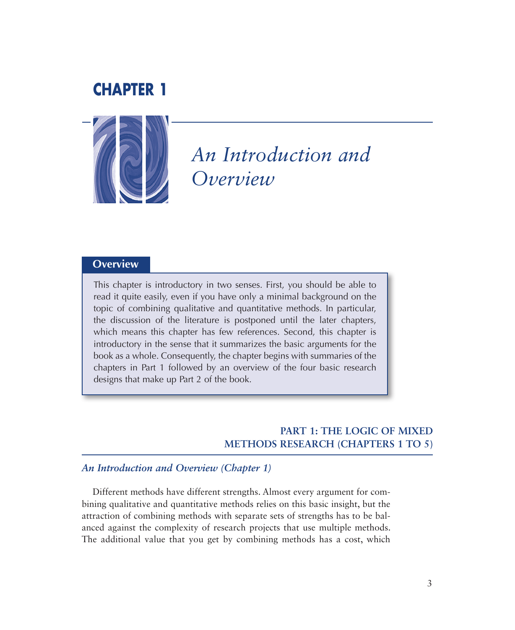## **CHAPTER 1**



# *An Introduction and Overview*

## **Overview**

This chapter is introductory in two senses. First, you should be able to read it quite easily, even if you have only a minimal background on the topic of combining qualitative and quantitative methods. In particular, the discussion of the literature is postponed until the later chapters, which means this chapter has few references. Second, this chapter is introductory in the sense that it summarizes the basic arguments for the book as a whole. Consequently, the chapter begins with summaries of the chapters in Part 1 followed by an overview of the four basic research designs that make up Part 2 of the book.

## **PART 1: THE LOGIC OF MIXED METHODS RESEARCH (CHAPTERS 1 TO 5)**

## *An Introduction and Overview (Chapter 1)*

Different methods have different strengths. Almost every argument for combining qualitative and quantitative methods relies on this basic insight, but the attraction of combining methods with separate sets of strengths has to be balanced against the complexity of research projects that use multiple methods. The additional value that you get by combining methods has a cost, which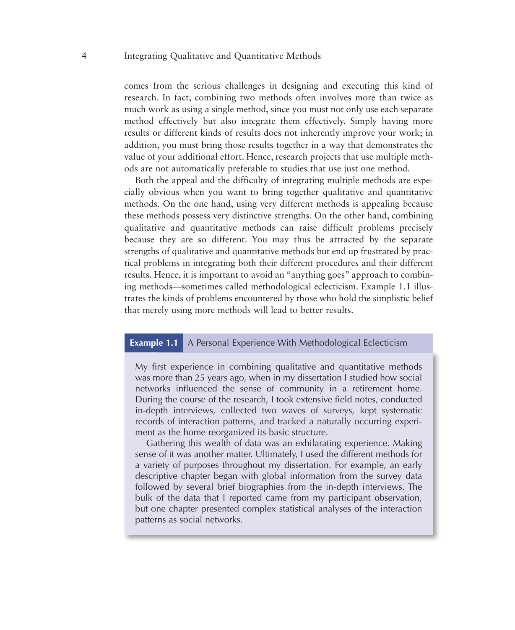comes from the serious challenges in designing and executing this kind of research. In fact, combining two methods often involves more than twice as much work as using a single method, since you must not only use each separate method effectively but also integrate them effectively. Simply having more results or different kinds of results does not inherently improve your work; in addition, you must bring those results together in a way that demonstrates the value of your additional effort. Hence, research projects that use multiple methods are not automatically preferable to studies that use just one method.

Both the appeal and the difficulty of integrating multiple methods are especially obvious when you want to bring together qualitative and quantitative methods. On the one hand, using very different methods is appealing because these methods possess very distinctive strengths. On the other hand, combining qualitative and quantitative methods can raise difficult problems precisely because they are so different. You may thus be attracted by the separate strengths of qualitative and quantitative methods but end up frustrated by practical problems in integrating both their different procedures and their different results. Hence, it is important to avoid an "anything goes" approach to combining methods—sometimes called methodological eclecticism. Example 1.1 illustrates the kinds of problems encountered by those who hold the simplistic belief that merely using more methods will lead to better results.

#### **Example 1.1** A Personal Experience With Methodological Eclecticism

My first experience in combining qualitative and quantitative methods was more than 25 years ago, when in my dissertation I studied how social networks influenced the sense of community in a retirement home. During the course of the research, I took extensive field notes, conducted in-depth interviews, collected two waves of surveys, kept systematic records of interaction patterns, and tracked a naturally occurring experiment as the home reorganized its basic structure.

Gathering this wealth of data was an exhilarating experience. Making sense of it was another matter. Ultimately, I used the different methods for a variety of purposes throughout my dissertation. For example, an early descriptive chapter began with global information from the survey data followed by several brief biographies from the in-depth interviews. The bulk of the data that I reported came from my participant observation, but one chapter presented complex statistical analyses of the interaction patterns as social networks.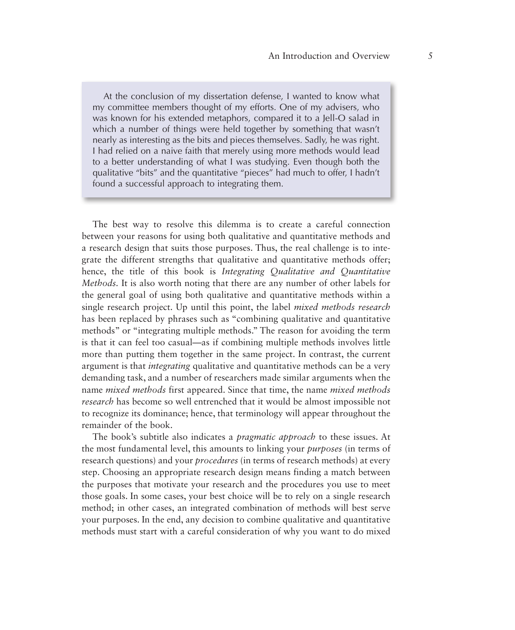At the conclusion of my dissertation defense, I wanted to know what my committee members thought of my efforts. One of my advisers, who was known for his extended metaphors, compared it to a Jell-O salad in which a number of things were held together by something that wasn't nearly as interesting as the bits and pieces themselves. Sadly, he was right. I had relied on a naive faith that merely using more methods would lead to a better understanding of what I was studying. Even though both the qualitative "bits" and the quantitative "pieces" had much to offer, I hadn't found a successful approach to integrating them.

The best way to resolve this dilemma is to create a careful connection between your reasons for using both qualitative and quantitative methods and a research design that suits those purposes. Thus, the real challenge is to integrate the different strengths that qualitative and quantitative methods offer; hence, the title of this book is *Integrating Qualitative and Quantitative Methods.* It is also worth noting that there are any number of other labels for the general goal of using both qualitative and quantitative methods within a single research project. Up until this point, the label *mixed methods research* has been replaced by phrases such as "combining qualitative and quantitative methods" or "integrating multiple methods." The reason for avoiding the term is that it can feel too casual—as if combining multiple methods involves little more than putting them together in the same project. In contrast, the current argument is that *integrating* qualitative and quantitative methods can be a very demanding task, and a number of researchers made similar arguments when the name *mixed methods* first appeared. Since that time, the name *mixed methods research* has become so well entrenched that it would be almost impossible not to recognize its dominance; hence, that terminology will appear throughout the remainder of the book.

The book's subtitle also indicates a *pragmatic approach* to these issues. At the most fundamental level, this amounts to linking your *purposes* (in terms of research questions) and your *procedures* (in terms of research methods) at every step. Choosing an appropriate research design means finding a match between the purposes that motivate your research and the procedures you use to meet those goals. In some cases, your best choice will be to rely on a single research method; in other cases, an integrated combination of methods will best serve your purposes. In the end, any decision to combine qualitative and quantitative methods must start with a careful consideration of why you want to do mixed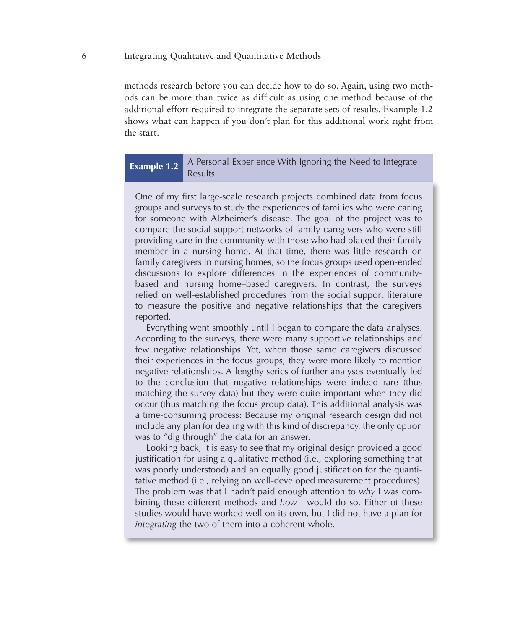methods research before you can decide how to do so. Again, using two methods can be more than twice as difficult as using one method because of the additional effort required to integrate the separate sets of results. Example 1.2 shows what can happen if you don't plan for this additional work right from the start.

## **Example 1.2** A Personal Experience With Ignoring the Need to Integrate Results

One of my first large-scale research projects combined data from focus groups and surveys to study the experiences of families who were caring for someone with Alzheimer's disease. The goal of the project was to compare the social support networks of family caregivers who were still providing care in the community with those who had placed their family member in a nursing home. At that time, there was little research on family caregivers in nursing homes, so the focus groups used open-ended discussions to explore differences in the experiences of communitybased and nursing home–based caregivers. In contrast, the surveys relied on well-established procedures from the social support literature to measure the positive and negative relationships that the caregivers reported.

Everything went smoothly until I began to compare the data analyses. According to the surveys, there were many supportive relationships and few negative relationships. Yet, when those same caregivers discussed their experiences in the focus groups, they were more likely to mention negative relationships. A lengthy series of further analyses eventually led to the conclusion that negative relationships were indeed rare (thus matching the survey data) but they were quite important when they did occur (thus matching the focus group data). This additional analysis was a time-consuming process: Because my original research design did not include any plan for dealing with this kind of discrepancy, the only option was to "dig through" the data for an answer.

Looking back, it is easy to see that my original design provided a good justification for using a qualitative method (i.e., exploring something that was poorly understood) and an equally good justification for the quantitative method (i.e., relying on well-developed measurement procedures). The problem was that I hadn't paid enough attention to *why* I was combining these different methods and *how* I would do so. Either of these studies would have worked well on its own, but I did not have a plan for *integrating* the two of them into a coherent whole.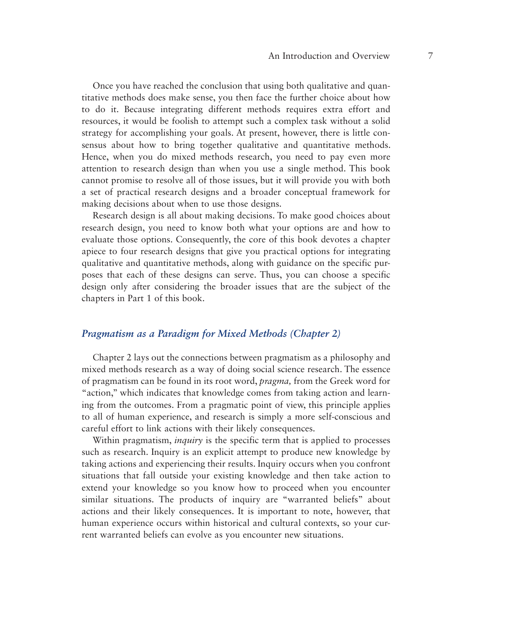Once you have reached the conclusion that using both qualitative and quantitative methods does make sense, you then face the further choice about how to do it. Because integrating different methods requires extra effort and resources, it would be foolish to attempt such a complex task without a solid strategy for accomplishing your goals. At present, however, there is little consensus about how to bring together qualitative and quantitative methods. Hence, when you do mixed methods research, you need to pay even more attention to research design than when you use a single method. This book cannot promise to resolve all of those issues, but it will provide you with both a set of practical research designs and a broader conceptual framework for making decisions about when to use those designs.

Research design is all about making decisions. To make good choices about research design, you need to know both what your options are and how to evaluate those options. Consequently, the core of this book devotes a chapter apiece to four research designs that give you practical options for integrating qualitative and quantitative methods, along with guidance on the specific purposes that each of these designs can serve. Thus, you can choose a specific design only after considering the broader issues that are the subject of the chapters in Part 1 of this book.

#### *Pragmatism as a Paradigm for Mixed Methods (Chapter 2)*

Chapter 2 lays out the connections between pragmatism as a philosophy and mixed methods research as a way of doing social science research. The essence of pragmatism can be found in its root word, *pragma,* from the Greek word for "action," which indicates that knowledge comes from taking action and learning from the outcomes. From a pragmatic point of view, this principle applies to all of human experience, and research is simply a more self-conscious and careful effort to link actions with their likely consequences.

Within pragmatism, *inquiry* is the specific term that is applied to processes such as research. Inquiry is an explicit attempt to produce new knowledge by taking actions and experiencing their results. Inquiry occurs when you confront situations that fall outside your existing knowledge and then take action to extend your knowledge so you know how to proceed when you encounter similar situations. The products of inquiry are "warranted beliefs" about actions and their likely consequences. It is important to note, however, that human experience occurs within historical and cultural contexts, so your current warranted beliefs can evolve as you encounter new situations.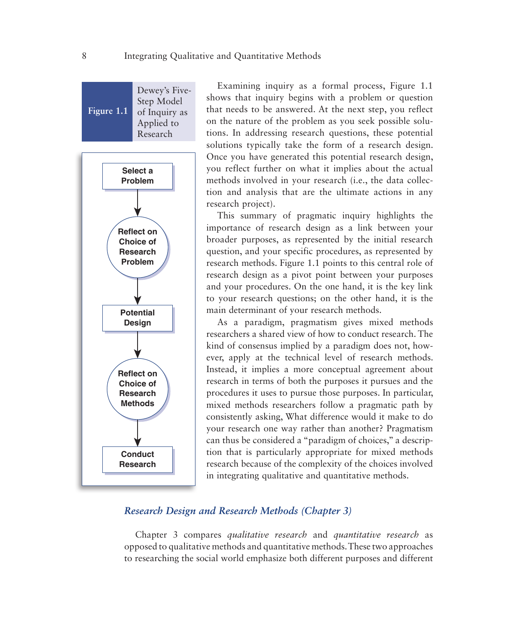**Figure 1.1** Dewey's Five-Step Model of Inquiry as Applied to Research



Examining inquiry as a formal process, Figure 1.1 shows that inquiry begins with a problem or question that needs to be answered. At the next step, you reflect on the nature of the problem as you seek possible solutions. In addressing research questions, these potential solutions typically take the form of a research design. Once you have generated this potential research design, you reflect further on what it implies about the actual methods involved in your research (i.e., the data collection and analysis that are the ultimate actions in any research project).

This summary of pragmatic inquiry highlights the importance of research design as a link between your broader purposes, as represented by the initial research question, and your specific procedures, as represented by research methods. Figure 1.1 points to this central role of research design as a pivot point between your purposes and your procedures. On the one hand, it is the key link to your research questions; on the other hand, it is the main determinant of your research methods.

As a paradigm, pragmatism gives mixed methods researchers a shared view of how to conduct research. The kind of consensus implied by a paradigm does not, however, apply at the technical level of research methods. Instead, it implies a more conceptual agreement about research in terms of both the purposes it pursues and the procedures it uses to pursue those purposes. In particular, mixed methods researchers follow a pragmatic path by consistently asking, What difference would it make to do your research one way rather than another? Pragmatism can thus be considered a "paradigm of choices," a description that is particularly appropriate for mixed methods research because of the complexity of the choices involved in integrating qualitative and quantitative methods.

## *Research Design and Research Methods (Chapter 3)*

Chapter 3 compares *qualitative research* and *quantitative research* as opposed to qualitative methods and quantitative methods. These two approaches to researching the social world emphasize both different purposes and different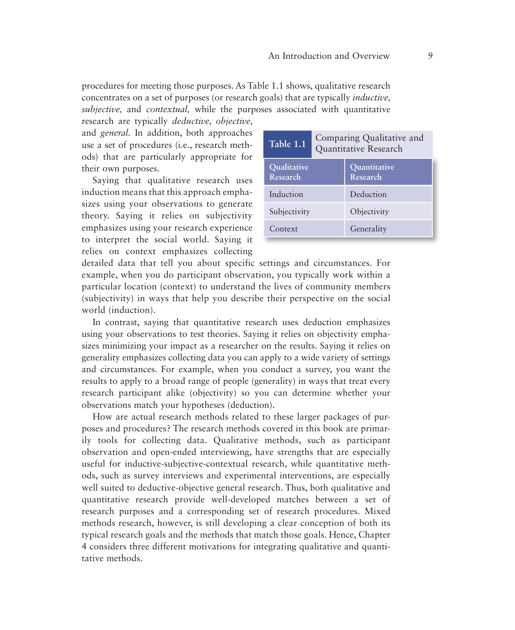procedures for meeting those purposes. As Table 1.1 shows, qualitative research concentrates on a set of purposes (or research goals) that are typically *inductive, subjective,* and *contextual,* while the purposes associated with quantitative

research are typically *deductive, objective,*  and *general.* In addition, both approaches use a set of procedures (i.e., research methods) that are particularly appropriate for their own purposes.

Saying that qualitative research uses induction means that this approach emphasizes using your observations to generate theory. Saying it relies on subjectivity emphasizes using your research experience to interpret the social world. Saying it relies on context emphasizes collecting

| Table 1.1               | Comparing Qualitative and<br>Quantitative Research |                          |  |
|-------------------------|----------------------------------------------------|--------------------------|--|
| Qualitative<br>Research |                                                    | Quantitative<br>Research |  |
| Induction               |                                                    | Deduction                |  |
| Subjectivity            |                                                    | Objectivity              |  |
| Context                 |                                                    | Generality               |  |

detailed data that tell you about specific settings and circumstances. For example, when you do participant observation, you typically work within a particular location (context) to understand the lives of community members (subjectivity) in ways that help you describe their perspective on the social world (induction).

In contrast, saying that quantitative research uses deduction emphasizes using your observations to test theories. Saying it relies on objectivity emphasizes minimizing your impact as a researcher on the results. Saying it relies on generality emphasizes collecting data you can apply to a wide variety of settings and circumstances. For example, when you conduct a survey, you want the results to apply to a broad range of people (generality) in ways that treat every research participant alike (objectivity) so you can determine whether your observations match your hypotheses (deduction).

How are actual research methods related to these larger packages of purposes and procedures? The research methods covered in this book are primarily tools for collecting data. Qualitative methods, such as participant observation and open-ended interviewing, have strengths that are especially useful for inductive-subjective-contextual research, while quantitative methods, such as survey interviews and experimental interventions, are especially well suited to deductive-objective general research. Thus, both qualitative and quantitative research provide well-developed matches between a set of research purposes and a corresponding set of research procedures. Mixed methods research, however, is still developing a clear conception of both its typical research goals and the methods that match those goals. Hence, Chapter 4 considers three different motivations for integrating qualitative and quantitative methods.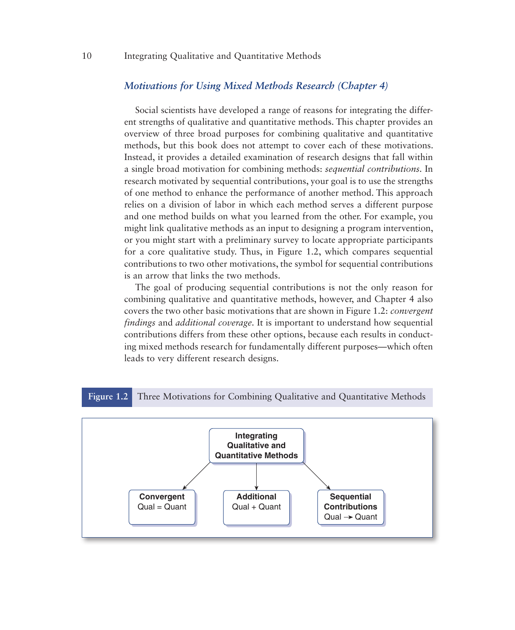#### *Motivations for Using Mixed Methods Research (Chapter 4)*

Social scientists have developed a range of reasons for integrating the different strengths of qualitative and quantitative methods. This chapter provides an overview of three broad purposes for combining qualitative and quantitative methods, but this book does not attempt to cover each of these motivations. Instead, it provides a detailed examination of research designs that fall within a single broad motivation for combining methods: *sequential contributions.* In research motivated by sequential contributions, your goal is to use the strengths of one method to enhance the performance of another method. This approach relies on a division of labor in which each method serves a different purpose and one method builds on what you learned from the other. For example, you might link qualitative methods as an input to designing a program intervention, or you might start with a preliminary survey to locate appropriate participants for a core qualitative study. Thus, in Figure 1.2, which compares sequential contributions to two other motivations, the symbol for sequential contributions is an arrow that links the two methods.

The goal of producing sequential contributions is not the only reason for combining qualitative and quantitative methods, however, and Chapter 4 also covers the two other basic motivations that are shown in Figure 1.2: *convergent findings* and *additional coverage.* It is important to understand how sequential contributions differs from these other options, because each results in conducting mixed methods research for fundamentally different purposes—which often leads to very different research designs.

#### **Figure 1.2** Three Motivations for Combining Qualitative and Quantitative Methods

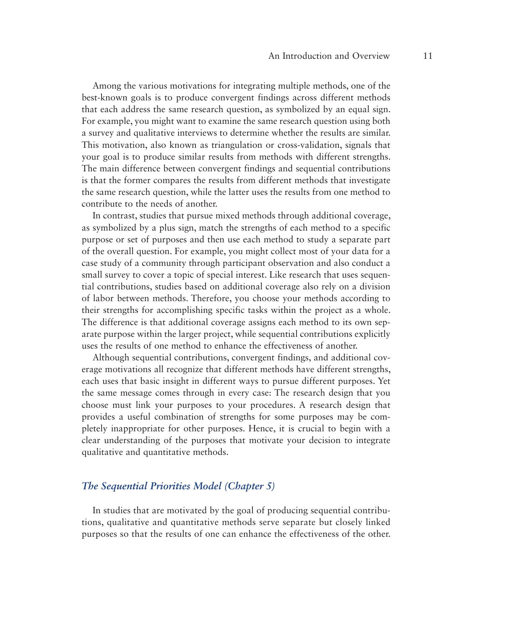Among the various motivations for integrating multiple methods, one of the best-known goals is to produce convergent findings across different methods that each address the same research question, as symbolized by an equal sign. For example, you might want to examine the same research question using both a survey and qualitative interviews to determine whether the results are similar. This motivation, also known as triangulation or cross-validation, signals that your goal is to produce similar results from methods with different strengths. The main difference between convergent findings and sequential contributions is that the former compares the results from different methods that investigate the same research question, while the latter uses the results from one method to contribute to the needs of another.

In contrast, studies that pursue mixed methods through additional coverage, as symbolized by a plus sign, match the strengths of each method to a specific purpose or set of purposes and then use each method to study a separate part of the overall question. For example, you might collect most of your data for a case study of a community through participant observation and also conduct a small survey to cover a topic of special interest. Like research that uses sequential contributions, studies based on additional coverage also rely on a division of labor between methods. Therefore, you choose your methods according to their strengths for accomplishing specific tasks within the project as a whole. The difference is that additional coverage assigns each method to its own separate purpose within the larger project, while sequential contributions explicitly uses the results of one method to enhance the effectiveness of another.

Although sequential contributions, convergent findings, and additional coverage motivations all recognize that different methods have different strengths, each uses that basic insight in different ways to pursue different purposes. Yet the same message comes through in every case: The research design that you choose must link your purposes to your procedures. A research design that provides a useful combination of strengths for some purposes may be completely inappropriate for other purposes. Hence, it is crucial to begin with a clear understanding of the purposes that motivate your decision to integrate qualitative and quantitative methods.

#### *The Sequential Priorities Model (Chapter 5)*

In studies that are motivated by the goal of producing sequential contributions, qualitative and quantitative methods serve separate but closely linked purposes so that the results of one can enhance the effectiveness of the other.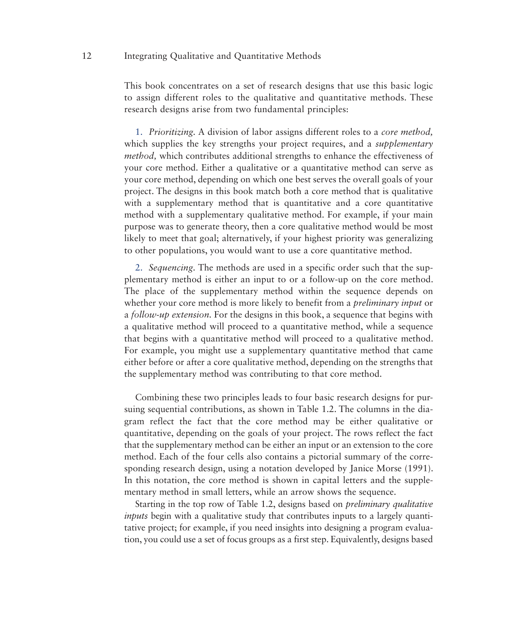This book concentrates on a set of research designs that use this basic logic to assign different roles to the qualitative and quantitative methods. These research designs arise from two fundamental principles:

1. *Prioritizing.* A division of labor assigns different roles to a *core method,* which supplies the key strengths your project requires, and a *supplementary method,* which contributes additional strengths to enhance the effectiveness of your core method. Either a qualitative or a quantitative method can serve as your core method, depending on which one best serves the overall goals of your project. The designs in this book match both a core method that is qualitative with a supplementary method that is quantitative and a core quantitative method with a supplementary qualitative method. For example, if your main purpose was to generate theory, then a core qualitative method would be most likely to meet that goal; alternatively, if your highest priority was generalizing to other populations, you would want to use a core quantitative method.

2. *Sequencing.* The methods are used in a specific order such that the supplementary method is either an input to or a follow-up on the core method. The place of the supplementary method within the sequence depends on whether your core method is more likely to benefit from a *preliminary input* or a *follow-up extension.* For the designs in this book, a sequence that begins with a qualitative method will proceed to a quantitative method, while a sequence that begins with a quantitative method will proceed to a qualitative method. For example, you might use a supplementary quantitative method that came either before or after a core qualitative method, depending on the strengths that the supplementary method was contributing to that core method.

Combining these two principles leads to four basic research designs for pursuing sequential contributions, as shown in Table 1.2. The columns in the diagram reflect the fact that the core method may be either qualitative or quantitative, depending on the goals of your project. The rows reflect the fact that the supplementary method can be either an input or an extension to the core method. Each of the four cells also contains a pictorial summary of the corresponding research design, using a notation developed by Janice Morse (1991). In this notation, the core method is shown in capital letters and the supplementary method in small letters, while an arrow shows the sequence.

Starting in the top row of Table 1.2, designs based on *preliminary qualitative inputs* begin with a qualitative study that contributes inputs to a largely quantitative project; for example, if you need insights into designing a program evaluation, you could use a set of focus groups as a first step. Equivalently, designs based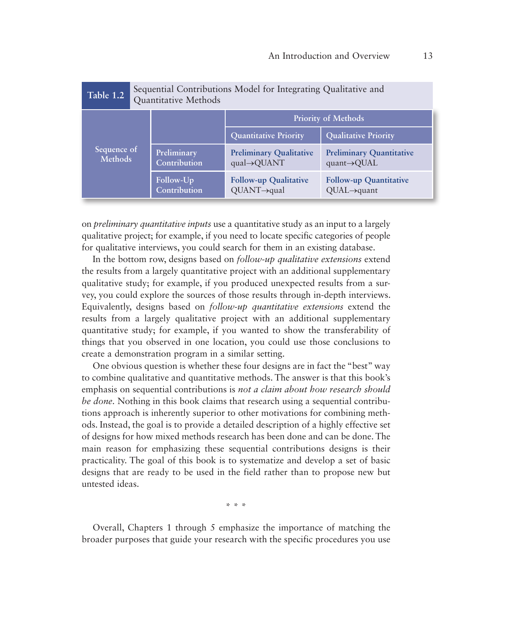| Table 1.2                     | Sequential Contributions Model for Integrating Qualitative and<br>Quantitative Methods |                             |                                              |                                                             |  |
|-------------------------------|----------------------------------------------------------------------------------------|-----------------------------|----------------------------------------------|-------------------------------------------------------------|--|
|                               |                                                                                        |                             | <b>Priority of Methods</b>                   |                                                             |  |
|                               |                                                                                        |                             | <b>Quantitative Priority</b>                 | <b>Qualitative Priority</b>                                 |  |
| Sequence of<br><b>Methods</b> |                                                                                        | Preliminary<br>Contribution | <b>Preliminary Qualitative</b><br>qual→QUANT | <b>Preliminary Quantitative</b><br>$quant \rightarrow QUAL$ |  |
|                               |                                                                                        | Follow-Up<br>Contribution   | <b>Follow-up Qualitative</b><br>QUANT→qual   | <b>Follow-up Quantitative</b><br>$QUAL \rightarrow$ quant   |  |

on *preliminary quantitative inputs* use a quantitative study as an input to a largely qualitative project; for example, if you need to locate specific categories of people for qualitative interviews, you could search for them in an existing database.

In the bottom row, designs based on *follow-up qualitative extensions* extend the results from a largely quantitative project with an additional supplementary qualitative study; for example, if you produced unexpected results from a survey, you could explore the sources of those results through in-depth interviews. Equivalently, designs based on *follow-up quantitative extensions* extend the results from a largely qualitative project with an additional supplementary quantitative study; for example, if you wanted to show the transferability of things that you observed in one location, you could use those conclusions to create a demonstration program in a similar setting.

One obvious question is whether these four designs are in fact the "best" way to combine qualitative and quantitative methods. The answer is that this book's emphasis on sequential contributions is *not a claim about how research should be done.* Nothing in this book claims that research using a sequential contributions approach is inherently superior to other motivations for combining methods. Instead, the goal is to provide a detailed description of a highly effective set of designs for how mixed methods research has been done and can be done. The main reason for emphasizing these sequential contributions designs is their practicality. The goal of this book is to systematize and develop a set of basic designs that are ready to be used in the field rather than to propose new but untested ideas.

\* \* \*

Overall, Chapters 1 through 5 emphasize the importance of matching the broader purposes that guide your research with the specific procedures you use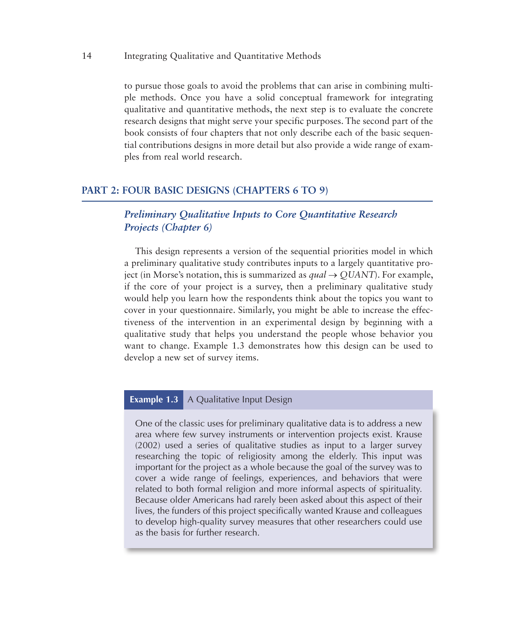to pursue those goals to avoid the problems that can arise in combining multiple methods. Once you have a solid conceptual framework for integrating qualitative and quantitative methods, the next step is to evaluate the concrete research designs that might serve your specific purposes. The second part of the book consists of four chapters that not only describe each of the basic sequential contributions designs in more detail but also provide a wide range of examples from real world research.

#### **PART 2: FOUR BASIC DESIGNS (CHAPTERS 6 TO 9)**

## *Preliminary Qualitative Inputs to Core Quantitative Research Projects (Chapter 6)*

This design represents a version of the sequential priorities model in which a preliminary qualitative study contributes inputs to a largely quantitative project (in Morse's notation, this is summarized as  $qual \rightarrow QUANT$ ). For example, if the core of your project is a survey, then a preliminary qualitative study would help you learn how the respondents think about the topics you want to cover in your questionnaire. Similarly, you might be able to increase the effectiveness of the intervention in an experimental design by beginning with a qualitative study that helps you understand the people whose behavior you want to change. Example 1.3 demonstrates how this design can be used to develop a new set of survey items.

## **Example 1.3** A Qualitative Input Design

One of the classic uses for preliminary qualitative data is to address a new area where few survey instruments or intervention projects exist. Krause (2002) used a series of qualitative studies as input to a larger survey researching the topic of religiosity among the elderly. This input was important for the project as a whole because the goal of the survey was to cover a wide range of feelings, experiences, and behaviors that were related to both formal religion and more informal aspects of spirituality. Because older Americans had rarely been asked about this aspect of their lives, the funders of this project specifically wanted Krause and colleagues to develop high-quality survey measures that other researchers could use as the basis for further research.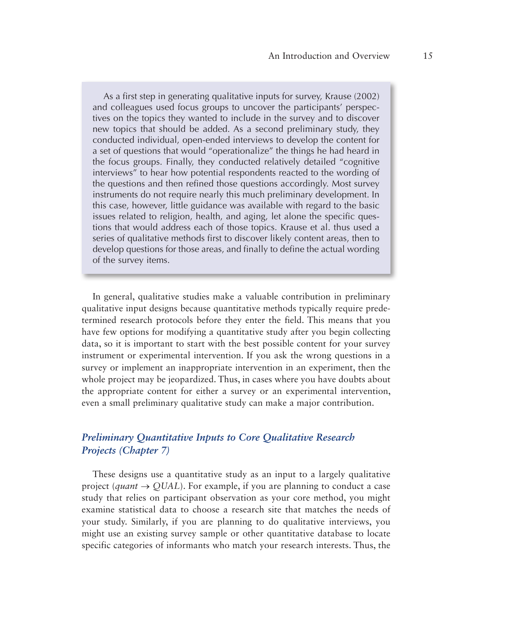As a first step in generating qualitative inputs for survey, Krause (2002) and colleagues used focus groups to uncover the participants' perspectives on the topics they wanted to include in the survey and to discover new topics that should be added. As a second preliminary study, they conducted individual, open-ended interviews to develop the content for a set of questions that would "operationalize" the things he had heard in the focus groups. Finally, they conducted relatively detailed "cognitive interviews" to hear how potential respondents reacted to the wording of the questions and then refined those questions accordingly. Most survey instruments do not require nearly this much preliminary development. In this case, however, little guidance was available with regard to the basic issues related to religion, health, and aging, let alone the specific questions that would address each of those topics. Krause et al. thus used a series of qualitative methods first to discover likely content areas, then to develop questions for those areas, and finally to define the actual wording of the survey items.

In general, qualitative studies make a valuable contribution in preliminary qualitative input designs because quantitative methods typically require predetermined research protocols before they enter the field. This means that you have few options for modifying a quantitative study after you begin collecting data, so it is important to start with the best possible content for your survey instrument or experimental intervention. If you ask the wrong questions in a survey or implement an inappropriate intervention in an experiment, then the whole project may be jeopardized. Thus, in cases where you have doubts about the appropriate content for either a survey or an experimental intervention, even a small preliminary qualitative study can make a major contribution.

## *Preliminary Quantitative Inputs to Core Qualitative Research Projects (Chapter 7)*

These designs use a quantitative study as an input to a largely qualitative project (*quant*  $\rightarrow$  QUAL). For example, if you are planning to conduct a case study that relies on participant observation as your core method, you might examine statistical data to choose a research site that matches the needs of your study. Similarly, if you are planning to do qualitative interviews, you might use an existing survey sample or other quantitative database to locate specific categories of informants who match your research interests. Thus, the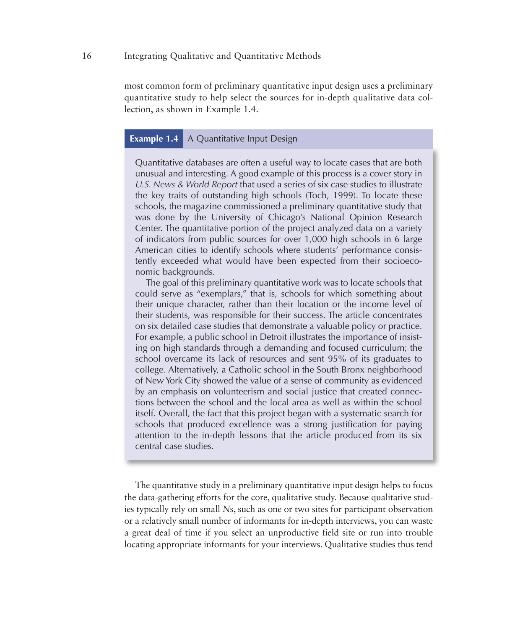most common form of preliminary quantitative input design uses a preliminary quantitative study to help select the sources for in-depth qualitative data collection, as shown in Example 1.4.

## **Example 1.4** A Quantitative Input Design

Quantitative databases are often a useful way to locate cases that are both unusual and interesting. A good example of this process is a cover story in *U.S. News & World Report* that used a series of six case studies to illustrate the key traits of outstanding high schools (Toch, 1999). To locate these schools, the magazine commissioned a preliminary quantitative study that was done by the University of Chicago's National Opinion Research Center. The quantitative portion of the project analyzed data on a variety of indicators from public sources for over 1,000 high schools in 6 large American cities to identify schools where students' performance consistently exceeded what would have been expected from their socioeconomic backgrounds.

The goal of this preliminary quantitative work was to locate schools that could serve as "exemplars," that is, schools for which something about their unique character, rather than their location or the income level of their students, was responsible for their success. The article concentrates on six detailed case studies that demonstrate a valuable policy or practice. For example, a public school in Detroit illustrates the importance of insisting on high standards through a demanding and focused curriculum; the school overcame its lack of resources and sent 95% of its graduates to college. Alternatively, a Catholic school in the South Bronx neighborhood of New York City showed the value of a sense of community as evidenced by an emphasis on volunteerism and social justice that created connections between the school and the local area as well as within the school itself. Overall, the fact that this project began with a systematic search for schools that produced excellence was a strong justification for paying attention to the in-depth lessons that the article produced from its six central case studies.

The quantitative study in a preliminary quantitative input design helps to focus the data-gathering efforts for the core, qualitative study. Because qualitative studies typically rely on small *N*s, such as one or two sites for participant observation or a relatively small number of informants for in-depth interviews, you can waste a great deal of time if you select an unproductive field site or run into trouble locating appropriate informants for your interviews. Qualitative studies thus tend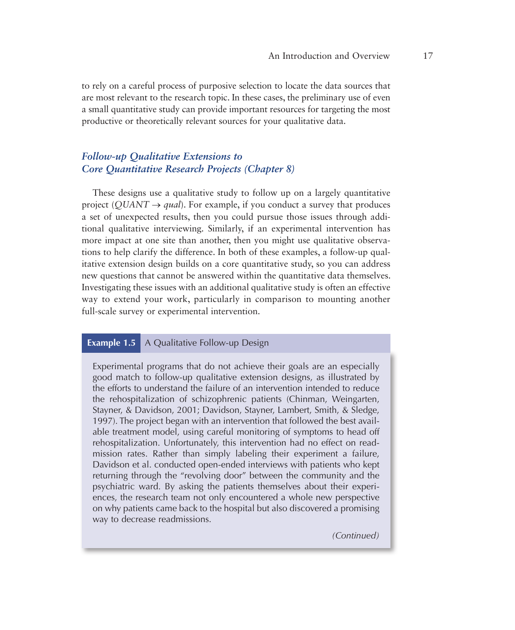to rely on a careful process of purposive selection to locate the data sources that are most relevant to the research topic. In these cases, the preliminary use of even a small quantitative study can provide important resources for targeting the most productive or theoretically relevant sources for your qualitative data.

## *Follow-up Qualitative Extensions to Core Quantitative Research Projects (Chapter 8)*

These designs use a qualitative study to follow up on a largely quantitative project ( $QUANT \rightarrow qual$ ). For example, if you conduct a survey that produces a set of unexpected results, then you could pursue those issues through additional qualitative interviewing. Similarly, if an experimental intervention has more impact at one site than another, then you might use qualitative observations to help clarify the difference. In both of these examples, a follow-up qualitative extension design builds on a core quantitative study, so you can address new questions that cannot be answered within the quantitative data themselves. Investigating these issues with an additional qualitative study is often an effective way to extend your work, particularly in comparison to mounting another full-scale survey or experimental intervention.

#### **Example 1.5** A Qualitative Follow-up Design

Experimental programs that do not achieve their goals are an especially good match to follow-up qualitative extension designs, as illustrated by the efforts to understand the failure of an intervention intended to reduce the rehospitalization of schizophrenic patients (Chinman, Weingarten, Stayner, & Davidson, 2001; Davidson, Stayner, Lambert, Smith, & Sledge, 1997). The project began with an intervention that followed the best available treatment model, using careful monitoring of symptoms to head off rehospitalization. Unfortunately, this intervention had no effect on readmission rates. Rather than simply labeling their experiment a failure, Davidson et al. conducted open-ended interviews with patients who kept returning through the "revolving door" between the community and the psychiatric ward. By asking the patients themselves about their experiences, the research team not only encountered a whole new perspective on why patients came back to the hospital but also discovered a promising way to decrease readmissions.

*(Continued)*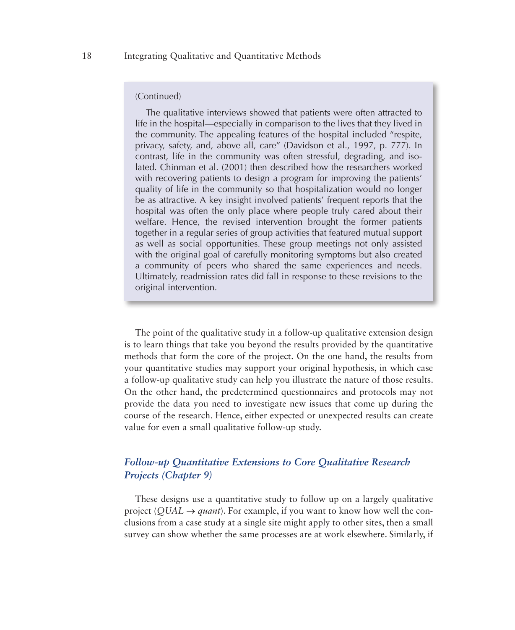#### (Continued)

The qualitative interviews showed that patients were often attracted to life in the hospital—especially in comparison to the lives that they lived in the community. The appealing features of the hospital included "respite, privacy, safety, and, above all, care" (Davidson et al., 1997, p. 777). In contrast, life in the community was often stressful, degrading, and isolated. Chinman et al. (2001) then described how the researchers worked with recovering patients to design a program for improving the patients' quality of life in the community so that hospitalization would no longer be as attractive. A key insight involved patients' frequent reports that the hospital was often the only place where people truly cared about their welfare. Hence, the revised intervention brought the former patients together in a regular series of group activities that featured mutual support as well as social opportunities. These group meetings not only assisted with the original goal of carefully monitoring symptoms but also created a community of peers who shared the same experiences and needs. Ultimately, readmission rates did fall in response to these revisions to the original intervention.

The point of the qualitative study in a follow-up qualitative extension design is to learn things that take you beyond the results provided by the quantitative methods that form the core of the project. On the one hand, the results from your quantitative studies may support your original hypothesis, in which case a follow-up qualitative study can help you illustrate the nature of those results. On the other hand, the predetermined questionnaires and protocols may not provide the data you need to investigate new issues that come up during the course of the research. Hence, either expected or unexpected results can create value for even a small qualitative follow-up study.

## *Follow-up Quantitative Extensions to Core Qualitative Research Projects (Chapter 9)*

These designs use a quantitative study to follow up on a largely qualitative project ( $\text{QUAL} \rightarrow \text{quant}$ ). For example, if you want to know how well the conclusions from a case study at a single site might apply to other sites, then a small survey can show whether the same processes are at work elsewhere. Similarly, if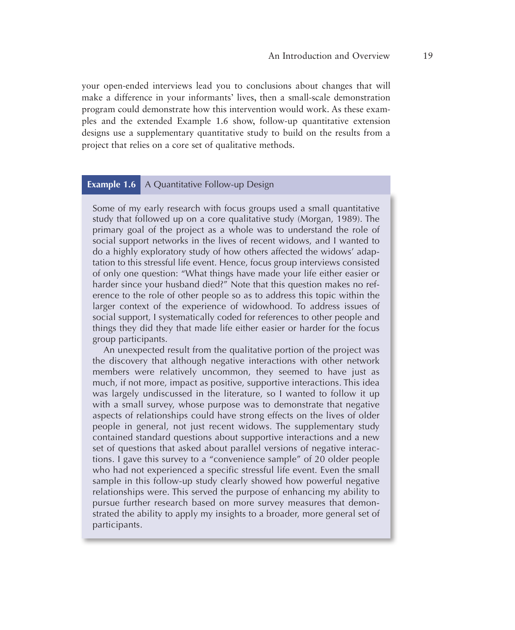your open-ended interviews lead you to conclusions about changes that will make a difference in your informants' lives, then a small-scale demonstration program could demonstrate how this intervention would work. As these examples and the extended Example 1.6 show, follow-up quantitative extension designs use a supplementary quantitative study to build on the results from a project that relies on a core set of qualitative methods.

#### **Example 1.6** A Quantitative Follow-up Design

Some of my early research with focus groups used a small quantitative study that followed up on a core qualitative study (Morgan, 1989). The primary goal of the project as a whole was to understand the role of social support networks in the lives of recent widows, and I wanted to do a highly exploratory study of how others affected the widows' adaptation to this stressful life event. Hence, focus group interviews consisted of only one question: "What things have made your life either easier or harder since your husband died?" Note that this question makes no reference to the role of other people so as to address this topic within the larger context of the experience of widowhood. To address issues of social support, I systematically coded for references to other people and things they did they that made life either easier or harder for the focus group participants.

An unexpected result from the qualitative portion of the project was the discovery that although negative interactions with other network members were relatively uncommon, they seemed to have just as much, if not more, impact as positive, supportive interactions. This idea was largely undiscussed in the literature, so I wanted to follow it up with a small survey, whose purpose was to demonstrate that negative aspects of relationships could have strong effects on the lives of older people in general, not just recent widows. The supplementary study contained standard questions about supportive interactions and a new set of questions that asked about parallel versions of negative interactions. I gave this survey to a "convenience sample" of 20 older people who had not experienced a specific stressful life event. Even the small sample in this follow-up study clearly showed how powerful negative relationships were. This served the purpose of enhancing my ability to pursue further research based on more survey measures that demonstrated the ability to apply my insights to a broader, more general set of participants.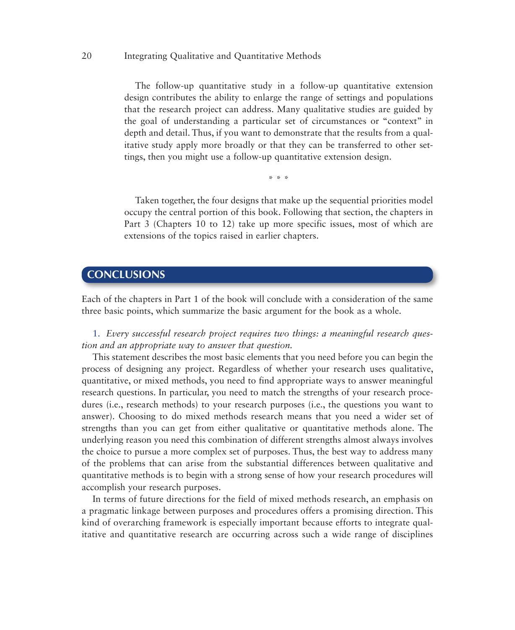The follow-up quantitative study in a follow-up quantitative extension design contributes the ability to enlarge the range of settings and populations that the research project can address. Many qualitative studies are guided by the goal of understanding a particular set of circumstances or "context" in depth and detail. Thus, if you want to demonstrate that the results from a qualitative study apply more broadly or that they can be transferred to other settings, then you might use a follow-up quantitative extension design.

\* \* \*

Taken together, the four designs that make up the sequential priorities model occupy the central portion of this book. Following that section, the chapters in Part 3 (Chapters 10 to 12) take up more specific issues, most of which are extensions of the topics raised in earlier chapters.

## **CONCLUSIONS**

Each of the chapters in Part 1 of the book will conclude with a consideration of the same three basic points, which summarize the basic argument for the book as a whole.

1. *Every successful research project requires two things: a meaningful research question and an appropriate way to answer that question.*

This statement describes the most basic elements that you need before you can begin the process of designing any project. Regardless of whether your research uses qualitative, quantitative, or mixed methods, you need to find appropriate ways to answer meaningful research questions. In particular, you need to match the strengths of your research procedures (i.e., research methods) to your research purposes (i.e., the questions you want to answer). Choosing to do mixed methods research means that you need a wider set of strengths than you can get from either qualitative or quantitative methods alone. The underlying reason you need this combination of different strengths almost always involves the choice to pursue a more complex set of purposes. Thus, the best way to address many of the problems that can arise from the substantial differences between qualitative and quantitative methods is to begin with a strong sense of how your research procedures will accomplish your research purposes.

In terms of future directions for the field of mixed methods research, an emphasis on a pragmatic linkage between purposes and procedures offers a promising direction. This kind of overarching framework is especially important because efforts to integrate qualitative and quantitative research are occurring across such a wide range of disciplines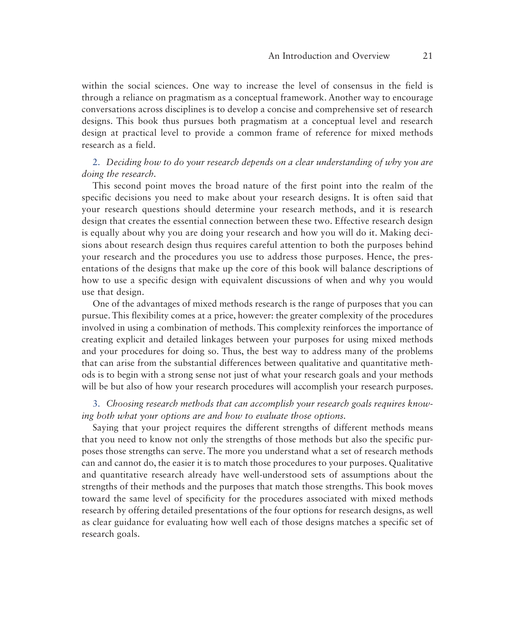within the social sciences. One way to increase the level of consensus in the field is through a reliance on pragmatism as a conceptual framework. Another way to encourage conversations across disciplines is to develop a concise and comprehensive set of research designs. This book thus pursues both pragmatism at a conceptual level and research design at practical level to provide a common frame of reference for mixed methods research as a field.

## 2. *Deciding how to do your research depends on a clear understanding of why you are doing the research.*

This second point moves the broad nature of the first point into the realm of the specific decisions you need to make about your research designs. It is often said that your research questions should determine your research methods, and it is research design that creates the essential connection between these two. Effective research design is equally about why you are doing your research and how you will do it. Making decisions about research design thus requires careful attention to both the purposes behind your research and the procedures you use to address those purposes. Hence, the presentations of the designs that make up the core of this book will balance descriptions of how to use a specific design with equivalent discussions of when and why you would use that design.

One of the advantages of mixed methods research is the range of purposes that you can pursue. This flexibility comes at a price, however: the greater complexity of the procedures involved in using a combination of methods. This complexity reinforces the importance of creating explicit and detailed linkages between your purposes for using mixed methods and your procedures for doing so. Thus, the best way to address many of the problems that can arise from the substantial differences between qualitative and quantitative methods is to begin with a strong sense not just of what your research goals and your methods will be but also of how your research procedures will accomplish your research purposes.

## 3. *Choosing research methods that can accomplish your research goals requires knowing both what your options are and how to evaluate those options.*

Saying that your project requires the different strengths of different methods means that you need to know not only the strengths of those methods but also the specific purposes those strengths can serve. The more you understand what a set of research methods can and cannot do, the easier it is to match those procedures to your purposes. Qualitative and quantitative research already have well-understood sets of assumptions about the strengths of their methods and the purposes that match those strengths. This book moves toward the same level of specificity for the procedures associated with mixed methods research by offering detailed presentations of the four options for research designs, as well as clear guidance for evaluating how well each of those designs matches a specific set of research goals.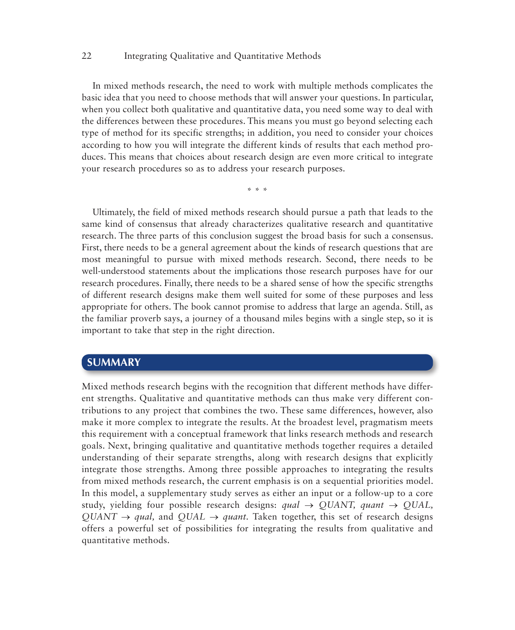In mixed methods research, the need to work with multiple methods complicates the basic idea that you need to choose methods that will answer your questions. In particular, when you collect both qualitative and quantitative data, you need some way to deal with the differences between these procedures. This means you must go beyond selecting each type of method for its specific strengths; in addition, you need to consider your choices according to how you will integrate the different kinds of results that each method produces. This means that choices about research design are even more critical to integrate your research procedures so as to address your research purposes.

\* \* \*

Ultimately, the field of mixed methods research should pursue a path that leads to the same kind of consensus that already characterizes qualitative research and quantitative research. The three parts of this conclusion suggest the broad basis for such a consensus. First, there needs to be a general agreement about the kinds of research questions that are most meaningful to pursue with mixed methods research. Second, there needs to be well-understood statements about the implications those research purposes have for our research procedures. Finally, there needs to be a shared sense of how the specific strengths of different research designs make them well suited for some of these purposes and less appropriate for others. The book cannot promise to address that large an agenda. Still, as the familiar proverb says, a journey of a thousand miles begins with a single step, so it is important to take that step in the right direction.

## **SUMMARY**

Mixed methods research begins with the recognition that different methods have different strengths. Qualitative and quantitative methods can thus make very different contributions to any project that combines the two. These same differences, however, also make it more complex to integrate the results. At the broadest level, pragmatism meets this requirement with a conceptual framework that links research methods and research goals. Next, bringing qualitative and quantitative methods together requires a detailed understanding of their separate strengths, along with research designs that explicitly integrate those strengths. Among three possible approaches to integrating the results from mixed methods research, the current emphasis is on a sequential priorities model. In this model, a supplementary study serves as either an input or a follow-up to a core study, yielding four possible research designs:  $qual \rightarrow \text{OUANT}$ ,  $quant \rightarrow \text{OUAL}$ ,  $QUANT \rightarrow qual$ , and  $QUAL \rightarrow quant$ . Taken together, this set of research designs offers a powerful set of possibilities for integrating the results from qualitative and quantitative methods.